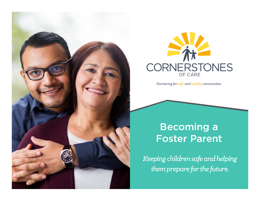



*Partnering for safe and healthy communities.*

# Becoming a Foster Parent

*Keeping children safe and helping them prepare for the future.*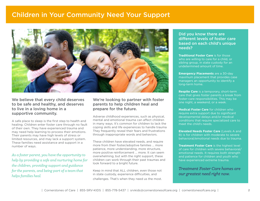# Children in Your Community Need Your Support



### We believe that every child deserves to be safe and healthy, and deserves to live in a loving home in a supportive community.

A safe place to sleep is the first step to health and healing. Children enter foster care through no fault of their own. They have experienced trauma and may need help learning to process their emotions. Their parents may have high levels of stress or limited resources, and may lack a support system. These families need assistance and support in a number of ways.

*As a foster parent, you have the opportunity to help by providing a safe and nurturing home for the children, providing support and guidance for the parents, and being part of a team that helps families heal.*

## We're looking to partner with foster parents to help children heal and prepare for the future.

Adverse childhood experiences, such as physical, mental and emotional trauma can affect children in many ways. It's common for children to lack the coping skills and life experiences to handle trauma They frequently reveal their fears and frustrations through inappropriate words and behaviors.

These children have elevated needs, and require more from their foster/adoptive families … more patience, more understanding, more structure, more positive reinforcement … more. It can seem overwhelming, but with the right support, these children can work through their past traumas and look forward to a bright future.

Keep in mind that ALL children, even those not in state custody, experience difficulties, and challenges. That's when they need us the most.

### Did you know there are different levels of foster care based on each child's unique needs?

**Traditional Foster Care** is for those who are willing to care for a child, or sibling group, in state custody for an undetermined amount of time.

**Emergency Placements** are a 30-day maximum placement that provides case managers an opportunity to identify a long-term home.

**Respite Care** is a temporary, short-term care that gives foster parents a break from foster-care responsibilities. This may be one night, a weekend, or a week.

**Medical Foster Care** for children who require extra support due to significant developmental delays and/or medical conditions that require specialized care to meet the child's needs.

**Elevated Needs Foster Care** (Levels A and B) is for children with moderate to severe behavioral/emotional needs due to trauma.

**Treatment Foster Care** is the highest level of care for children with severe behavioral/ emotional needs. It requires both strength and patience for children and youth who have experienced extreme trauma.

*Treatment Foster Care homes are our greatest need right now.*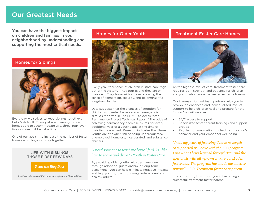# Our Greatest Needs

You can have the biggest impact on children and families in your neighborhood by understanding and supporting the most critical needs.

## Homes for Siblings



Every day, we strives to keep siblings together… but it's difficult. There just aren't enough foster homes able to accommodate two, three, four, even five or more children at a time.

One of our goals it to increase the number of foster homes so siblings can stay together.

### LIFE WITH SIBLINGS: THOSE FIRST FEW DAYS



*Reading a print version? Visit cornerstonesofcare.org/lifewithsiblings*



Every year, thousands of children in state care "age out of the system." They turn 18 and they are on their own. They leave without ever knowing the sense of connection, security, and belonging of a long-term family.

Data suggests that the chances of adoption for children who enter foster care as teenagers is slim. As reported in The Multi-Site Accelerated Permanency Project Technical Report, "The odds of achieving permanency decrease by 12% for every additional year of a youth's age at the time of their first placement. Research indicates that these youths are at higher risk of being undereducated, unemployed, homeless, incarcerated, and substance abusers.

## *"I need someone to teach me basic life skills - like how to shave and drive." - Youth in Foster Care*

By providing older youths with permanency through adoption, guardianship, or long-term placement—you can help eliminate negative impacts and help youth grow into strong, independent and healthy adults.

# Homes for Older Youth Treatment Foster Care Homes



As the highest level of care, treatment foster care requires both strength and patience for children and youth who have experienced extreme trauma.

Our trauma-informed team partners with you to provide an enhanced and individualized level of support to help children heal and prepare for the future. You will receive:

- 24/7 access to support
- Specialized foster parent trainings and support groups
- Regular communication to check on the child's behavior and your emotional well-being.

*"In all my years of fostering, I have never felt so supported as I have with the TFC program. I use what I have learned through TFC and the specialists with all my own children and other foster kids. The program has made me a better parent." - L.P., Treatment foster care parent*

It is our priority to support you in becoming a successful treatment foster parent.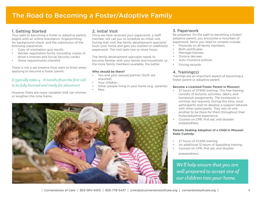# Our Greatest Challenge, Our Greatest Need The Road to Becoming a Foster/Adoptive Family

# 1. Getting Started

Your path to becoming a foster or adoptive parent, begins with an online orientation, fingerprinting for background check, and the submission of the following paperwork:

- Copy of orientation quiz results
- Worker registration forms (including copies of driver's licenses and Social Security cards)
- Home requirements checklist

There is not a set timeline from start to finish when applying to become a foster parent.

# *It typically takes 4 - 6 months from the first call to be fully licensed and ready for placement*

However there are many variables that can shorten or lengthen this time frame.

# 2. Initial Visit

Once we have received your paperwork, a staff member will call you to schedule an initial visit. During that visit, the family development specialist tours your home and gets you started on additional paperwork. The visit lasts two or more hours.

The family development specialist needs to become familiar with your family and household, so the more family members available, the better.

### **Who should be there?**

- You and your spouse/partner (both are required)
- Your children
- Other people living in your home (e.g., parents)
- Pets



# 3. Paperwork

Be prepared. On the path to becoming a foster/ adoptive parent, you encounter a mountain of paperwork. Items you need to compile include:

- Physicals on all family members
- Birth certificates
- Marriage licenses
- Divorce decrees
- Auto insurance policies
- Driving records

# 4. Training(s)

Trainings are an important aspect of becoming a foster parent or adoptive parent.

### **Become a Licensed Foster Parent in Missouri:**

- 27 hours of STARS training: This free training consists of lectures, activities, Q&A's, and homework assignments. The homework is minimal, but required. During this time, most participants start to develop a support network with other participants. They rely on one another to be there for them throughout their foster/adoptive experience.
- Courses on CPR, first aid, and disaster preparedness.

### **Parents Seeking Adoption of a Child in Missouri State Custody:**

- 27 hours of STARS training
- An additional 12 hours of Spaulding training.
- Courses on CPR, first aid, and disaster preparedness.

*We'll help ensure that you are well prepared to accept one of our children into your home.*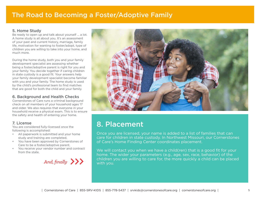# The Road to Becoming a Foster/Adoptive Family

### 5. Home Study

Be ready to open up and talk about yourself … a lot. A home study is all about you. It's an assessment of your past and current history, marriage, family life, motivation for wanting to foster/adopt, type of children you are willing to take into your home, and much more.

During the home study, both you and your family development specialist are assessing whether being a foster/adoptive parent is right for you and your family. You decide together if caring children in state custody is a good fit. Your answers help your family development specialist become familiar with you and your family. The home study is used by the child's professional team to find matches that are good for both the child and your family.

# 6. Background and Health Checks

Cornerstones of Care runs a criminal background check on all members of your household ages 17 and older. We also requires that everyone in your household receive a physical exam. This is to ensure the safety and health of entering your home.

# 7. License

You are considered fully-licensed once the following is accomplished:

- All paperwork is submitted and your home study and training are completed.
- You have been approved by Cornerstones of Care to be a foster/adoptive parent.
- You receive your vendor number and contract from the state.





# 8. Placement

Once you are licensed, your name is added to a list of families that can care for children in state custody. In Northwest Missouri, our Cornerstones of Care's Home Finding Center coordinates placement.

We will contact you when we have a child(ren) that is a good fit for your home. The wider your parameters (e.g., age, sex, race, behavior) of the And, finally **XX** children you are willing to care for, the more quickly a child can be placed with you.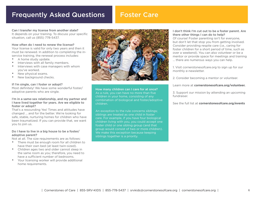# Frequently Asked Questions

# Foster Care

Can I transfer my license from another state? It depends on your training. To discuss your specific situation, call us (855) 778-5437.

#### How often do I need to renew the license?

Your license is valid for only two years and then it must be renewed. In addition to completing the inservice training, the renewal process includes:

- A home study update.
- Interviews with all family members.
- Interviews with case managers with whom you've worked.
- New physical exams.
- New background checks.

#### If I'm single, can I foster or adopt?

Most definitely! We have some wonderful foster/ adoptive parents who are single.

#### I'm in a same-sex relationship, and my partner and I have lived together for years. Are we eligible to foster or adopt?

That's a resounding Yes! Times and attitudes have changed … and for the better. We're looking for safe, stable, nurturing homes for children who have been traumatized. If you can provide that, we want you to join us.

#### Do I have to live in a big house to be a foster/ adoptive parent?

Not at all. The size requirements are as follows:

- There must be enough room for all children to have their own bed (at least twin-sized).
- Children ages two and older cannot sleep in the same room as you; therefore, you need to have a sufficient number of bedrooms.
- Your licensing worker will provide additional home requirements.



How many children can I care for at once? As a rule, you can have no more than five children in your home, consisting of any combination of biological and foster/adoptive children.

An exception to the rule concerns siblings; siblings are treated as one child in foster care. For example, if you have four biological children living with you, you could accept one foster child or one sibling group (and that group would consist of two or more children). We make this exception because keeping siblings together is a priority.

#### I don't think I'm cut out to be a foster parent. Are there other things I can do to help?

Of course! Foster parenting isn't for everyone, but don't let that stop you from getting involved. Consider providing respite care (i.e., caring for foster children for a short period of time, such as over a weekend). You can also volunteer or be a mentor or provide space for meetings and training … there are numerous ways you can help.

1. Visit cornerstonesofcare.org to sign up for our monthly e-newsletter.

2. Consider becoming a mentor or volunteer.

#### Learn more at **cornerstonesofcare.org/volunteer.**

3. Support our mission by attending an upcoming fundraiser.

See the full list at **cornerstonesofcare.org/events**